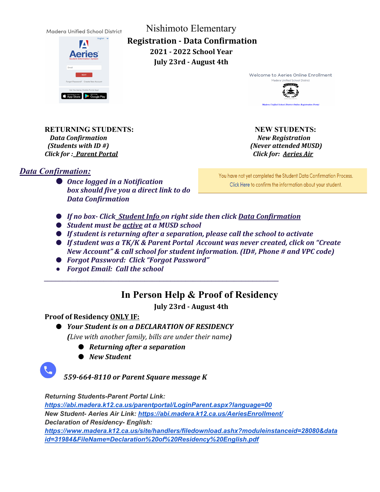Madera Unified School District



Nishimoto Elementary **Registration - Data Confirmation 2021 - 2022 School Year July 23rd - August 4th**

> Welcome to Aeries Online Enrollment Madera Unified Sch **MADERA**



**RETURNING STUDENTS:** NEW STUDENTS: *Data Confirmation*  $\qquad \qquad \qquad$  New Registration  *(Students with ID #) (Never attended MUSD) Click for : Parent Portal Click for: Aeries Air*

*Data Confirmation:* 

● *Once logged in a Notification box should five you a direct link to do Data Confirmation* 

You have not yet completed the Student Data Confirmation Process. Click Here to confirm the information about your student.

- *If no box- Click Student Info on right side then click Data Confirmation*
- *Student must be active at a MUSD school*
- *If student is returning after a separation, please call the school to activate*
- If student was a TK/K & Parent Portal Account was never created, click on "Create *New Account" & call school for student information. (ID#, Phone # and VPC code)*
- *Forgot Password: Click "Forgot Password"*
- *Forgot Email: Call the school*

## **In Person Help & Proof of Residency**

**July 23rd - August 4th**

## **Proof of Residency ONLY IF:**

● *Your Student is on a DECLARATION OF RESIDENCY (Live with another family, bills are under their name)*

*\_\_\_\_\_\_\_\_\_\_\_\_\_\_\_\_\_\_\_\_\_\_\_\_\_\_\_\_\_\_\_\_\_\_\_\_\_\_\_\_\_\_\_\_\_\_\_\_\_\_\_\_\_\_\_\_\_\_\_\_\_\_\_*

- **●** *Returning after a separation*
- *New Student*

*559-664-8110 or Parent Square message K*

*Returning Students-Parent Portal Link:* 

*[https://abi.madera.k12.ca.us/parentportal/LoginParent.aspx?language=00](http://email-link.parentsquare.com/ls/click?upn=QnVQymdXNhN9mB1Yo7ti6OQcMtkR1XMCBcSbw1Xka87-2BGX2WCJjJQ-2FEsAF5Q3prst-2B7FhkgPNJp18ElS2Ag8Kbbut9eN0J-2F-2F2dD3rnMQBvA-3DVmcg_MUdhxAwkkYvAIvVmyl326PknGheGXy5BrZ6LZqslMDmC69AdOsVJNDyI5fPwqLlssxaT-2BxDxZJJHbqCXqeCkRq6kOEeXCYKT7FRc6DvpU7OPYPSmpXCKyCyJ-2FzU9eCWUTW71UM-2F-2B3SapzSOQXOB4Chg2-2FP9Ags2S0amKMHNGPoI4wG0wl-2B5h4Cc8eZa6OWhGQQa7jbMXzTFvQwZiSNjQP8tIVjxMeOe9tdmCV-2B4AZno6iU9fe2x-2F-2BCIz2iQqN90Fio38xNNf6mWamUpbPeKBrg-3D-3D) New Student- Aeries Air Link: [https://abi.madera.k12.ca.us/AeriesEnrollment/](http://email-link.parentsquare.com/ls/click?upn=QnVQymdXNhN9mB1Yo7ti6OQcMtkR1XMCBcSbw1Xka86GbQP2PS988-2F1MmEKHjBjOpk0SxEz4fEULvcp2b4Xtxw-3D-3DmVij_MUdhxAwkkYvAIvVmyl326PknGheGXy5BrZ6LZqslMDmC69AdOsVJNDyI5fPwqLlssxaT-2BxDxZJJHbqCXqeCkRq6kOEeXCYKT7FRc6DvpU7OPYPSmpXCKyCyJ-2FzU9eCWU2tfB6niKAc3lf99nx2Vo0IyMlUou7WAZQNSatJrBr2Id7fC29HL80rJaAm1pVMyXyeeiduPECArQP2w6gjx0uzOancL8q44lZ3QJPj5HTzfjErNQi6vJ1mnNV4ZPqQoIveElZ0aUUtFehSu-2FYWlzKQ-3D-3D) Declaration of Residency- English:* 

*[https://www.madera.k12.ca.us/site/handlers/filedownload.ashx?moduleinstanceid=28080&data](https://www.madera.k12.ca.us/site/handlers/filedownload.ashx?moduleinstanceid=28080&dataid=31984&FileName=Declaration%20of%20Residency%20English.pdf) [id=31984&FileName=Declaration%20of%20Residency%20English.pdf](https://www.madera.k12.ca.us/site/handlers/filedownload.ashx?moduleinstanceid=28080&dataid=31984&FileName=Declaration%20of%20Residency%20English.pdf)*